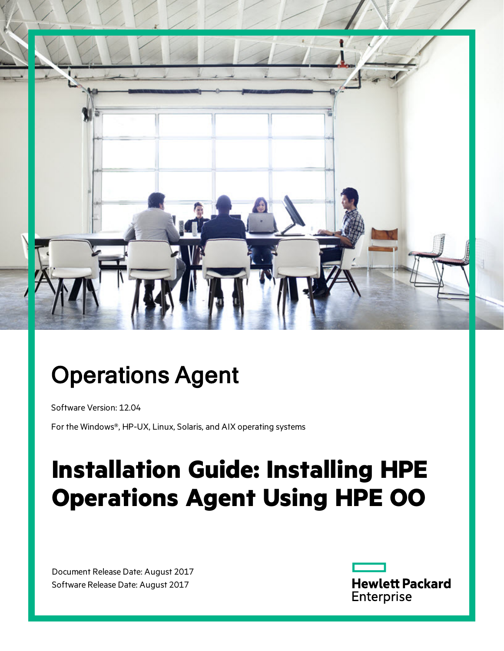

# Operations Agent

Software Version: 12.04

For the Windows®, HP-UX, Linux, Solaris, and AIX operating systems

# **Installation Guide: Installing HPE Operations Agent Using HPE OO**

Document Release Date: August 2017 Software Release Date: August 2017

**Hewlett Packard** Enterprise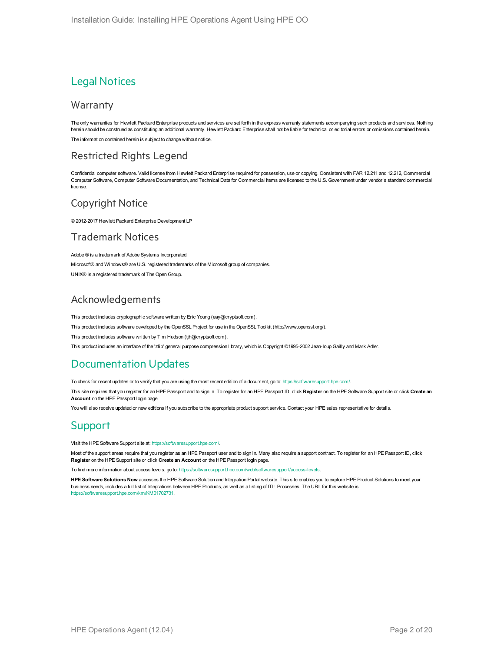### Legal Notices

#### Warranty

The only warranties for Hewlett Packard Enterprise products and services are set forth in the express warranty statements accompanying such products and services. Nothing herein should be construed as constituting an additional warranty. Hewlett Packard Enterprise shall not be liable for technical or editorial errors or omissions contained herein. The information contained herein is subject to change without notice.

#### Restricted Rights Legend

Confidential computer software. Valid license from Hewlett Packard Enterprise required for possession, use or copying. Consistent with FAR 12.211 and 12.212, Commercial Computer Software, Computer Software Documentation, and Technical Data for Commercial Items are licensed to the U.S. Government under vendor's standard commercial license.

#### Copyright Notice

© 2012-2017 Hewlett Packard Enterprise Development LP

#### Trademark Notices

Adobe ® is a trademark of Adobe Systems Incorporated. Microsoft® and Windows® are U.S. registered trademarks of the Microsoft group of companies. UNIX® is a registered trademark of The Open Group.

#### Acknowledgements

This product includes cryptographic software written by Eric Young (eay@cryptsoft.com).

This product includes software developed by the OpenSSL Project for use in the OpenSSL Toolkit (http://www.openssl.org/).

This product includes software written by Tim Hudson (tjh@cryptsoft.com).

This product includes an interface of the 'zlib' general purpose compression library, which is Copyright ©1995-2002 Jean-loup Gailly and Mark Adler.

#### Documentation Updates

To check for recent updates or to verify that you are using the most recent edition of a document, go to: <https://softwaresupport.hpe.com/>.

This site requires that you register for an HPE Passport and to sign in. To register for an HPE Passport ID, click **Register** on the HPE Software Support site or click **Create an Account** on the HPE Passport login page.

You will also receive updated or new editions if you subscribe to the appropriate product support service. Contact your HPE sales representative for details.

### **Support**

Visit the HPE Software Support site at: <https://softwaresupport.hpe.com/>.

Most of the support areas require that you register as an HPE Passport user and to sign in. Many also require a support contract. To register for an HPE Passport ID, click **Register** on the HPE Support site or click **Create an Account** on the HPE Passport login page.

To find more information about access levels, go to: <https://softwaresupport.hpe.com/web/softwaresupport/access-levels>.

**HPE Software Solutions Now** accesses the HPE Software Solution and Integration Portal website. This site enables you to explore HPE Product Solutions to meet your business needs, includes a full list of Integrations between HPE Products, as well as a listing of ITIL Processes. The URL for this website is [https://softwaresupport.hpe.com/km/KM01702731.](https://softwaresupport.hpe.com/km/KM01702731)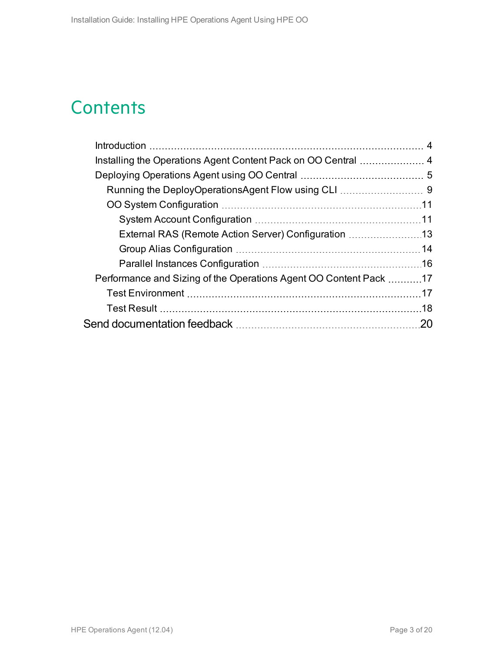### **Contents**

| External RAS (Remote Action Server) Configuration 13              |     |
|-------------------------------------------------------------------|-----|
|                                                                   |     |
|                                                                   |     |
| Performance and Sizing of the Operations Agent OO Content Pack 17 |     |
|                                                                   |     |
|                                                                   |     |
|                                                                   | .20 |
|                                                                   |     |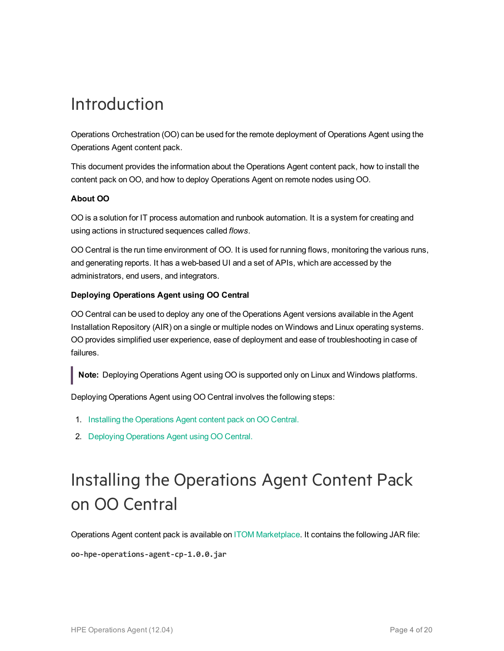### <span id="page-3-0"></span>Introduction

Operations Orchestration (OO) can be used for the remote deployment of Operations Agent using the Operations Agent content pack.

This document provides the information about the Operations Agent content pack, how to install the content pack on OO, and how to deploy Operations Agent on remote nodes using OO.

#### **About OO**

OO is a solution for IT process automation and runbook automation. It is a system for creating and using actions in structured sequences called *flows*.

OO Central is the run time environment of OO. It is used for running flows, monitoring the various runs, and generating reports. It has a web-based UI and a set of APIs, which are accessed by the administrators, end users, and integrators.

#### **Deploying Operations Agent using OO Central**

OO Central can be used to deploy any one of the Operations Agent versions available in the Agent Installation Repository (AIR) on a single or multiple nodes on Windows and Linux operating systems. OO provides simplified user experience, ease of deployment and ease of troubleshooting in case of failures.

**Note:** Deploying Operations Agent using OO is supported only on Linux and Windows platforms.

Deploying Operations Agent using OO Central involves the following steps:

- 1. Installing the [Operations](#page-3-1) Agent content pack on OO Central.
- <span id="page-3-1"></span>2. Deploying [Operations](#page-4-0) Agent using OO Central.

# Installing the Operations Agent Content Pack on OO Central

Operations Agent content pack is available on ITOM [Marketplace](https://marketplace.saas.hpe.com/itom). It contains the following JAR file:

**oo-hpe-operations-agent-cp-1.0.0.jar**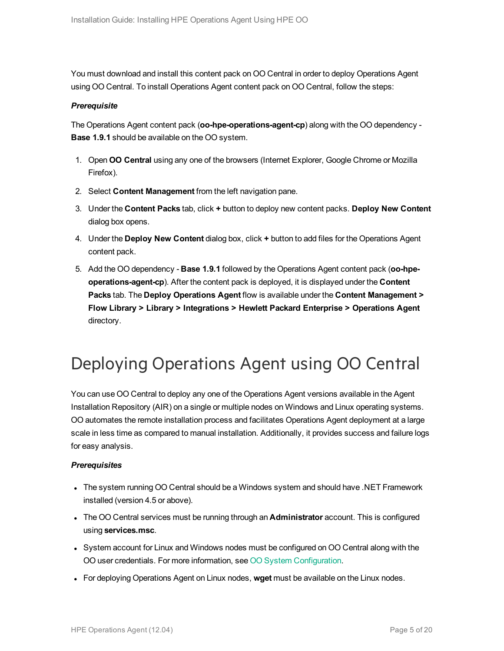You must download and install this content pack on OO Central in order to deploy Operations Agent using OO Central. To install Operations Agent content pack on OO Central, follow the steps:

#### *Prerequisite*

The Operations Agent content pack (**oo-hpe-operations-agent-cp**) along with the OO dependency - **Base 1.9.1** should be available on the OO system.

- 1. Open **OO Central** using any one of the browsers (Internet Explorer, Google Chrome or Mozilla Firefox).
- 2. Select **Content Management** from the left navigation pane.
- 3. Under the **Content Packs** tab, click **+** button to deploy new content packs. **Deploy New Content** dialog box opens.
- 4. Under the **Deploy New Content** dialog box, click **+** button to add files for the Operations Agent content pack.
- 5. Add the OO dependency **Base 1.9.1** followed by the Operations Agent content pack (**oo-hpeoperations-agent-cp**). After the content pack is deployed, it is displayed under the **Content Packs** tab. The **Deploy Operations Agent** flow is available under the **Content Management > Flow Library > Library > Integrations > Hewlett Packard Enterprise > Operations Agent** directory.

### <span id="page-4-0"></span>Deploying Operations Agent using OO Central

You can use OO Central to deploy any one of the Operations Agent versions available in the Agent Installation Repository (AIR) on a single or multiple nodes on Windows and Linux operating systems. OO automates the remote installation process and facilitates Operations Agent deployment at a large scale in less time as compared to manual installation. Additionally, it provides success and failure logs for easy analysis.

#### *Prerequisites*

- The system running OO Central should be a Windows system and should have .NET Framework installed (version 4.5 or above).
- <sup>l</sup> The OO Central services must be running through an **Administrator** account. This is configured using **services.msc**.
- System account for Linux and Windows nodes must be configured on OO Central along with the OO user credentials. For more information, see OO System [Configuration.](#page-10-0)
- For deploying Operations Agent on Linux nodes, wget must be available on the Linux nodes.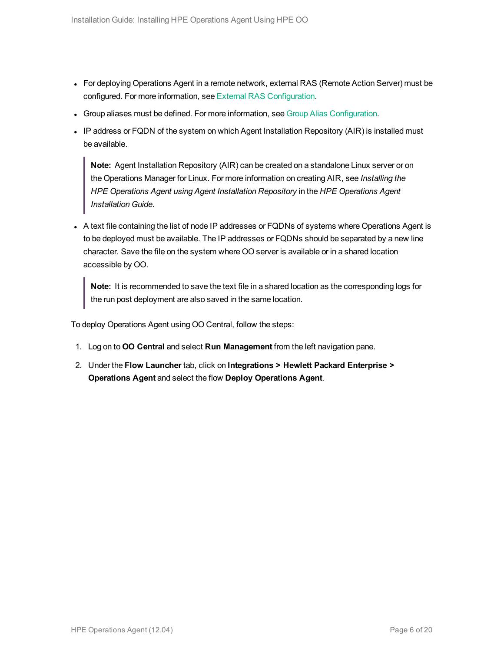- For deploying Operations Agent in a remote network, external RAS (Remote Action Server) must be configured. For more information, see External RAS [Configuration](#page-12-0).
- Group aliases must be defined. For more information, see Group Alias [Configuration](#page-13-0).
- IP address or FQDN of the system on which Agent Installation Repository (AIR) is installed must be available.

**Note:** Agent Installation Repository (AIR) can be created on a standalone Linux server or on the Operations Manager for Linux. For more information on creating AIR, see *Installing the HPE Operations Agent using Agent Installation Repository* in the *HPE Operations Agent Installation Guide*.

• A text file containing the list of node IP addresses or FQDNs of systems where Operations Agent is to be deployed must be available. The IP addresses or FQDNs should be separated by a new line character. Save the file on the system where OO server is available or in a shared location accessible by OO.

**Note:** It is recommended to save the text file in a shared location as the corresponding logs for the run post deployment are also saved in the same location.

To deploy Operations Agent using OO Central, follow the steps:

- 1. Log on to **OO Central** and select **Run Management** from the left navigation pane.
- 2. Under the **Flow Launcher** tab, click on **Integrations > Hewlett Packard Enterprise > Operations Agent** and select the flow **Deploy Operations Agent**.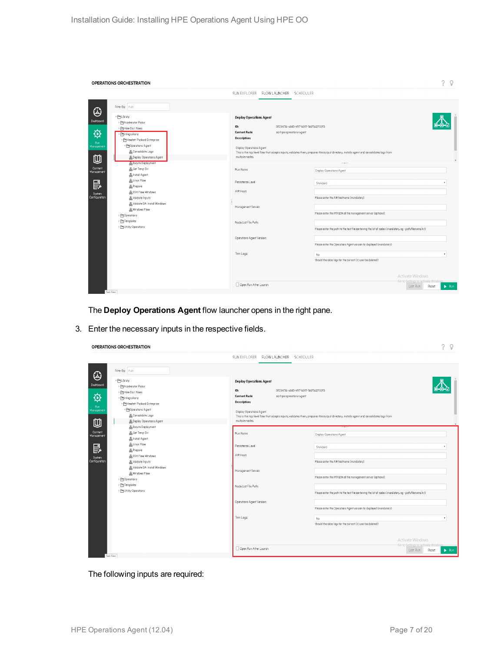|                                                                                                         | OPERATIONS ORCHESTRATION                                                                                                                                                                                                                                                                                                                                                                                                                                                                                       |                                                                                                                                                                                                                                                                                                     | $\gamma$<br>ୃ                                                                                                                                                                                                                                                                                                                                                                                                                                                                                                                                                                                                                     |
|---------------------------------------------------------------------------------------------------------|----------------------------------------------------------------------------------------------------------------------------------------------------------------------------------------------------------------------------------------------------------------------------------------------------------------------------------------------------------------------------------------------------------------------------------------------------------------------------------------------------------------|-----------------------------------------------------------------------------------------------------------------------------------------------------------------------------------------------------------------------------------------------------------------------------------------------------|-----------------------------------------------------------------------------------------------------------------------------------------------------------------------------------------------------------------------------------------------------------------------------------------------------------------------------------------------------------------------------------------------------------------------------------------------------------------------------------------------------------------------------------------------------------------------------------------------------------------------------------|
|                                                                                                         |                                                                                                                                                                                                                                                                                                                                                                                                                                                                                                                | RUN EXPLORER FLOW LAUNCHER SCHEDULER                                                                                                                                                                                                                                                                |                                                                                                                                                                                                                                                                                                                                                                                                                                                                                                                                                                                                                                   |
| ⊕<br>Dashboard<br>♦<br>Run.<br>Management<br>⋓<br>Content<br>Management<br>昆<br>System<br>Configuration | Filter By: Path<br>* ELibrary<br>▶ HAccelerator Packs<br>▶ How Do I flows<br>▼ Elntegrations<br>- Hewlett Packard Enterprise<br>▼ Operations Agent<br><b>凡Consolidate Logs</b><br>BDeploy Operations Agent<br>BExcute Deployment<br><b>A</b> Get Temp Dir<br><b>Alnstall Agent</b><br><b>品Linux Flow</b><br><b>A</b> Prepare<br><b>A</b> SSH Flow Windows<br>& Validate Inputs<br>品Validate OA Install Windows<br><b>品</b> Windows Flow<br>▶ <b>Fi</b> Operations<br>> En Templates<br>> El Utility Operations | <b>Deploy Operations Agent</b><br>ID:<br><b>Content Pack:</b><br>oo-hpe-operations-agent<br><b>Description:</b><br>Deploy Operations Agent<br>multiple nodes.<br>Run Name<br>Persistence Level<br>AIR Host:<br>Management Server:<br>Node List File Path:<br>Operations Agent Version:<br>Trim Logs | 3923473b-ab83-49f7-b391-1dd75d270293<br>This is the top level flow that accepts inputs, validates them, prepares the output directory, installs agent and consolidates logs from<br>Deploy Operations Agent<br>Standard<br>Please enter the AIR hostname (mandatory)<br>Please enter the IP/FQDN of the management server (optional)<br>Please enter the path to the text file containing the list of nodes (mandatory, eg - path/filename.txt)<br>Please enter the Operations Agent version to deployed (mandatory)<br>No.<br>Should the older lags for the current OO user be deleted?<br>Activate Windows<br>Go to Settings to |
|                                                                                                         |                                                                                                                                                                                                                                                                                                                                                                                                                                                                                                                | Open Run After Launch                                                                                                                                                                                                                                                                               | Last Run<br>$\blacktriangleright$ Run<br>Reset                                                                                                                                                                                                                                                                                                                                                                                                                                                                                                                                                                                    |

The **Deploy Operations Agent** flow launcher opens in the right pane.

3. Enter the necessary inputs in the respective fields.

| OPERATIONS ORCHESTRATION                                                                                                                                                                                                                                                                                                                                                                                                                                      |                                                                                                                                                                                                            | つ<br>Ω                                                                                                                                                                                                                  |
|---------------------------------------------------------------------------------------------------------------------------------------------------------------------------------------------------------------------------------------------------------------------------------------------------------------------------------------------------------------------------------------------------------------------------------------------------------------|------------------------------------------------------------------------------------------------------------------------------------------------------------------------------------------------------------|-------------------------------------------------------------------------------------------------------------------------------------------------------------------------------------------------------------------------|
|                                                                                                                                                                                                                                                                                                                                                                                                                                                               | RUN EXPLORER FLOW LAUNCHER SCHEDULER                                                                                                                                                                       |                                                                                                                                                                                                                         |
| Filter By: Path<br>$\bigoplus$<br>™ ELibrary<br>Dashboard<br>▶ PHA coelerator Packs<br>▶ How Do I flows<br>♦<br>▼ Elntegrations<br>- Hewlett Packard Enterprise<br>Run<br>▼ Operations Agent<br>Management<br><b>R</b> Consolidate Logs<br>⋓<br>品Deploy Operations Agent<br><b>B</b> Excute Deployment<br>Content<br><b>A</b> Get Temp Dir<br>Management<br><b>Binstall Agent</b><br><b>BLinux Flow</b><br>昆<br><b>A</b> Prepare<br><b>A</b> SSH Flow Windows | <b>Deploy Operations Agent</b><br>ID:<br><b>Content Pack</b><br>oo-hpe-operations-agent<br><b>Description:</b><br>Deploy Operations Agent<br>multiple nodes.<br>Run Name<br>Persistence Level<br>AIR Host: | 3923473b-ab83-49f7-b391-1dd75d270293<br>This is the top level flow that accepts inputs, validates them, prepares the output directory, installs agent and consolidates logs from<br>Deploy Operations Agent<br>Standard |
| System<br>Configuration<br><b>B</b> Validate Inputs<br>B Validate OA Install Windows<br><b>A.</b> Windows Flow<br>▶ E Templates<br>> El Utility Operations                                                                                                                                                                                                                                                                                                    | Management Server:<br>Node List File Path:                                                                                                                                                                 | Please enter the AIR hostname (mandatory)<br>Please enter the IP/FQDN of the management server (optional)<br>Please enter the path to the text file containing the list of nodes (mandatory, eg - path/filename.txt)    |
|                                                                                                                                                                                                                                                                                                                                                                                                                                                               | Operations Agent Version:                                                                                                                                                                                  | Please enter the Operations Agent version to deployed (mandatory)                                                                                                                                                       |
|                                                                                                                                                                                                                                                                                                                                                                                                                                                               | Trim Logs                                                                                                                                                                                                  | No.<br>Should the older logs for the current OO user be deleted?<br>Activate Windows                                                                                                                                    |
| Task View                                                                                                                                                                                                                                                                                                                                                                                                                                                     | Open Run After Launch                                                                                                                                                                                      | Go to Settings to activate<br>$\triangleright$ Run<br>Last Run<br>Reset                                                                                                                                                 |

The following inputs are required: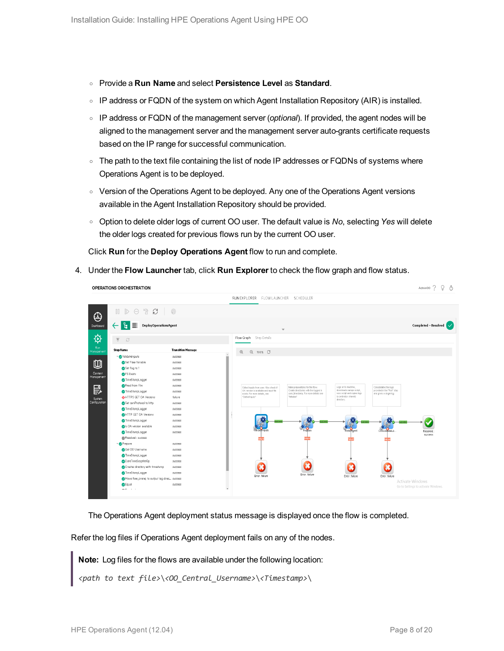- <sup>o</sup> Provide a **Run Name** and select **Persistence Level** as **Standard**.
- $\circ$  IP address or FQDN of the system on which Agent Installation Repository (AIR) is installed.
- <sup>o</sup> IP address or FQDN of the management server (*optional*). If provided, the agent nodes will be aligned to the management server and the management server auto-grants certificate requests based on the IP range for successful communication.
- $\circ$  The path to the text file containing the list of node IP addresses or FQDNs of systems where Operations Agent is to be deployed.
- <sup>o</sup> Version of the Operations Agent to be deployed. Any one of the Operations Agent versions available in the Agent Installation Repository should be provided.
- <sup>o</sup> Option to delete older logs of current OO user. The default value is *No*, selecting *Yes* will delete the older logs created for previous flows run by the current OO user.

Click **Run** for the **Deploy Operations Agent** flow to run and complete.

4. Under the **Flow Launcher** tab, click **Run Explorer** to check the flow graph and flow status.

| OPERATIONS ORCHESTRATION                                         |                           |                                                                                                                                                                                                                                                                               | AdminOO $\land$ $\lor$ $\circ$      |
|------------------------------------------------------------------|---------------------------|-------------------------------------------------------------------------------------------------------------------------------------------------------------------------------------------------------------------------------------------------------------------------------|-------------------------------------|
|                                                                  |                           | RUN EXPLORER FLOW LAUNCHER SCHEDULER                                                                                                                                                                                                                                          |                                     |
| S<br>$\mathbb{R}^n$<br>$\mathbb{I}$<br>$\mathbb{D}$<br>$\ominus$ | $\circledcirc$            |                                                                                                                                                                                                                                                                               |                                     |
| ъ.<br>≣<br><b>DeployOperationsAgent</b><br>$\leftarrow$          |                           | $\overline{\mathbf{v}}$                                                                                                                                                                                                                                                       | Completed - Resolved $\sqrt{}$      |
| $\overline{\uparrow}$<br>$\mathcal{C}$                           |                           | Flow Graph Step Details                                                                                                                                                                                                                                                       |                                     |
| <b>Step Name</b>                                                 | <b>Transition Message</b> | $\mathbb{Q}$<br>$Q$ 100% $C$                                                                                                                                                                                                                                                  |                                     |
| validatemputs                                                    | success                   |                                                                                                                                                                                                                                                                               |                                     |
| Set Flow Variable                                                | success                   |                                                                                                                                                                                                                                                                               |                                     |
| Set flag to 1                                                    | success                   |                                                                                                                                                                                                                                                                               |                                     |
| <b>OFS</b> Exists                                                | success                   |                                                                                                                                                                                                                                                                               |                                     |
| TimeStampLogger                                                  | success                   |                                                                                                                                                                                                                                                                               |                                     |
| Read from File                                                   | success                   | Logs on to machine,<br>Consolidates the logs<br>Collect inputs from user, Also check if<br>Make preparations for the flow.                                                                                                                                                    |                                     |
| TimeStampLogger                                                  | success                   | provided in the "Run" step<br>Create directories with the logged in<br>downloads oarepo script,<br>OA version is available and input file<br>user, tinestamp. For more details see<br>runs script and copies logs<br>and gives a single log.<br>exists. For more details, see |                                     |
| HTTPS GET OA Versions                                            | failure                   | to central or shared)<br>"Initialize"<br>"Gatherinputs"                                                                                                                                                                                                                       |                                     |
| Set comProtocol to http                                          | success                   | directory.                                                                                                                                                                                                                                                                    |                                     |
| TimeStampLogger                                                  | success                   |                                                                                                                                                                                                                                                                               |                                     |
| HTTP GET OA Versions                                             | success                   |                                                                                                                                                                                                                                                                               |                                     |
| TimeStampLogger                                                  | success                   | ٠                                                                                                                                                                                                                                                                             |                                     |
| S DA version available                                           | success                   |                                                                                                                                                                                                                                                                               |                                     |
| TimeStampLogger                                                  | success                   | ValidateInouts<br>Pretiare<br>ConsolidateLo.<br><b>InstallAgent</b>                                                                                                                                                                                                           | Resolved<br>success                 |
| <b>叠 Resolved : success</b>                                      |                           |                                                                                                                                                                                                                                                                               |                                     |
| Prepare                                                          | success                   |                                                                                                                                                                                                                                                                               |                                     |
| Get 00 Username                                                  | success                   |                                                                                                                                                                                                                                                                               |                                     |
| TimeStampLogger                                                  | success                   |                                                                                                                                                                                                                                                                               |                                     |
| DateTimeScriptletOp                                              | success                   |                                                                                                                                                                                                                                                                               |                                     |
| Creates directory with timestamp                                 | success                   |                                                                                                                                                                                                                                                                               |                                     |
| TimeStampLogger                                                  | success                   | Error: failure                                                                                                                                                                                                                                                                |                                     |
| Move flow_prereq to output log direc success                     |                           | Error: failure<br>Error: failure<br>Error: failure                                                                                                                                                                                                                            | Activate Windows                    |
| <b>B</b> qual                                                    | success                   |                                                                                                                                                                                                                                                                               | Go to Settings to activate Windows. |
| state of the con-                                                |                           | $\overline{\phantom{a}}$                                                                                                                                                                                                                                                      |                                     |

The Operations Agent deployment status message is displayed once the flow is completed.

Refer the log files if Operations Agent deployment fails on any of the nodes.

**Note:** Log files for the flows are available under the following location:

```
<path to text file>\<OO_Central_Username>\<Timestamp>\
```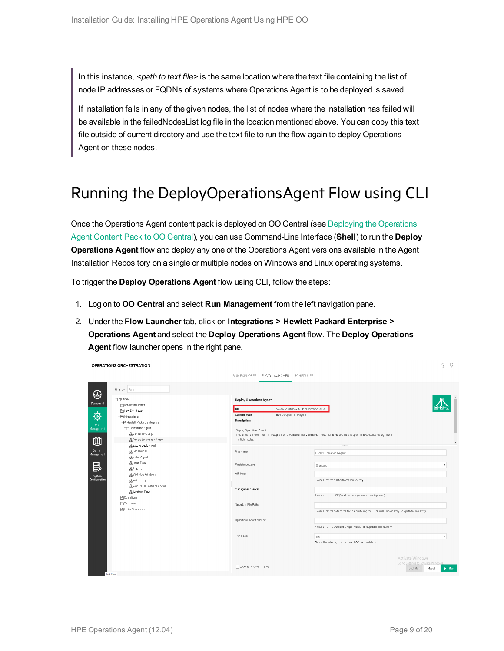In this instance, *<path to text file>* is the same location where the text file containing the list of node IP addresses or FQDNs of systems where Operations Agent is to be deployed is saved.

If installation fails in any of the given nodes, the list of nodes where the installation has failed will be available in the failedNodesList log file in the location mentioned above. You can copy this text file outside of current directory and use the text file to run the flow again to deploy Operations Agent on these nodes.

### <span id="page-8-0"></span>Running the DeployOperationsAgent Flow using CLI

Once the Operations Agent content pack is deployed on OO Central (see Deploying the [Operations](#page-3-1) Agent [Content](#page-3-1) Pack to OO Central), you can use Command-Line Interface (**Shell**) to run the **Deploy Operations Agent** flow and deploy any one of the Operations Agent versions available in the Agent Installation Repository on a single or multiple nodes on Windows and Linux operating systems.

To trigger the **Deploy Operations Agent** flow using CLI, follow the steps:

- 1. Log on to **OO Central** and select **Run Management** from the left navigation pane.
- 2. Under the **Flow Launcher** tab, click on **Integrations > Hewlett Packard Enterprise > Operations Agent** and select the **Deploy Operations Agent** flow. The **Deploy Operations Agent** flow launcher opens in the right pane.

|                                                     |                                | RUN EXPLORER FLOW LAUNCHER SCHEDULER                                                                                                     |
|-----------------------------------------------------|--------------------------------|------------------------------------------------------------------------------------------------------------------------------------------|
| Filter By: Path                                     |                                |                                                                                                                                          |
| * ELibrary                                          | <b>Deploy Operations Agent</b> |                                                                                                                                          |
| Dashboard<br>▶ PHA coelerator Packs                 |                                |                                                                                                                                          |
| ▶ How Do I flows                                    | ID.                            | 3923473b-ab83-49f7-b391-1dd75d270293                                                                                                     |
| ▼ <b>Fintegrations</b>                              | <b>Content Pack:</b>           | oo-hpe-operations-agent                                                                                                                  |
| - PHewlett Packard Enterprise                       | <b>Description:</b>            |                                                                                                                                          |
| ▼ Operations Agent<br>Management                    | Deploy Operations Agent        |                                                                                                                                          |
| B Consolidate Logs                                  |                                | This is the top level flow that accepts inputs, validates them, prepares the output directory, installs agent and consolidates logs from |
| BDeploy Operations Agent                            | multiple nodes.                |                                                                                                                                          |
| <b>B</b> Excute Deployment                          |                                |                                                                                                                                          |
| <b>B</b> Get Temp Dir<br>Management                 | Run Name                       | Deploy Operations Agent                                                                                                                  |
| <b>B</b> Install Agent                              |                                |                                                                                                                                          |
| <b>BLinux Flow</b>                                  | Persistence Level              | Standard                                                                                                                                 |
| <b>A</b> Prepare                                    |                                |                                                                                                                                          |
| <b>A</b> SSH Flow Windows                           | AIR Host:                      |                                                                                                                                          |
| System<br>Configuration<br><b>A</b> Validate Inputs |                                | Please enter the AIR hostname (mandatory)                                                                                                |
| 品Validate OA Install Windows                        |                                |                                                                                                                                          |
| <b>A.</b> Windows Flow                              | Management Server:             |                                                                                                                                          |
| ▶ 门 Operations                                      |                                | Please enter the IP/FQDN of the management server (optional)                                                                             |
| > En Templates                                      | Node List File Path:           |                                                                                                                                          |
| > P Utility Operations                              |                                | Please enter the path to the text file containing the list of nodes (mandatory, eg - path/filename.txt)                                  |
|                                                     | Operations Agent Version:      |                                                                                                                                          |
|                                                     |                                | Please enter the Operations Agent version to deployed (mandatory)                                                                        |
|                                                     | Trim Logs                      | No                                                                                                                                       |
|                                                     |                                | Should the older logs for the current OO user be deleted?                                                                                |
|                                                     |                                |                                                                                                                                          |
|                                                     |                                | Activate Windows                                                                                                                         |
|                                                     | Open Run After Launch          | Go to Settings to activate Windo<br>Last Run<br>Reset                                                                                    |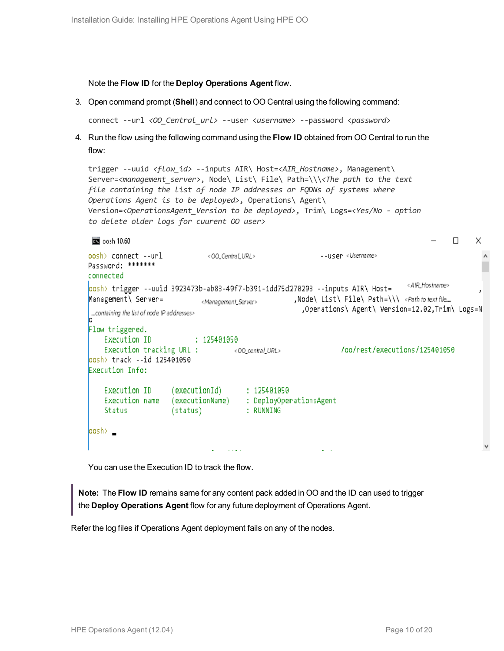#### Note the **Flow ID** for the **Deploy Operations Agent** flow.

3. Open command prompt (**Shell**) and connect to OO Central using the following command:

```
connect --url <OO_Central_url> --user <username> --password <password>
```
4. Run the flow using the following command using the **Flow ID** obtained from OO Central to run the flow:

```
trigger --uuid <flow_id> --inputs AIR\ Host=<AIR_Hostname>, Management\
Server=<management_server>, Node\ List\ File\ Path=\\\<The path to the text
file containing the list of node IP addresses or FQDNs of systems where
Operations Agent is to be deployed>, Operations\ Agent\
Version=<OperationsAgent_Version to be deployed>, Trim\ Logs=<Yes/No - option
to delete older logs for cuurent OO user>
```

```
\BoxX
\overline{600} oosh 10.60oosh> connect --url <00_Central_URL>
                                             --user <Username>
Password: *******
connected
                                                                          < AIR_Hostname>
oosh> trigger --uuid 3923473b-ab83-49f7-b391-1dd75d270293 --inputs AIR\ Host=
                    <Management_Server> ,Node\ List\ File\ Path=\\\ <Path to text file....
Management \ Server=
                                                ,Operations\ Agent\ Version=12.02,Trim\ Logs=N
....containing the list of node IP addresses>
Flow triggered.
  Execution ID : 125401050
   oo/rest/executions/125401050/
oosh> track --id 125401050
Execution Info:
   Execution ID (executionId) : 125401050
   Execution name (executionName) : DeployOperationsAgent
   Status (status) : RUNNING
oosh> _
                             Communication
                                                      \omega_{\rm{max}}
```
You can use the Execution ID to track the flow.

**Note:** The **Flow ID** remains same for any content pack added in OO and the ID can used to trigger the **Deploy Operations Agent** flow for any future deployment of Operations Agent.

Refer the log files if Operations Agent deployment fails on any of the nodes.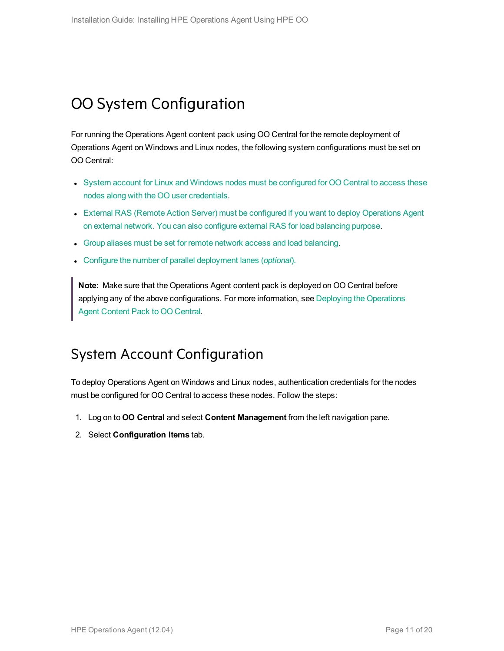### <span id="page-10-0"></span>OO System Configuration

For running the Operations Agent content pack using OO Central for the remote deployment of Operations Agent on Windows and Linux nodes, the following system configurations must be set on OO Central:

- System account for Linux and Windows nodes must be [configured](#page-10-1) for OO Central to access these nodes along with the OO user [credentials.](#page-10-1)
- External RAS (Remote Action Server) must be configured if you want to deploy [Operations](#page-12-0) Agent on external network. You can also configure external RAS for load [balancing](#page-12-0) purpose.
- Group aliases must be set for remote network access and load [balancing](#page-13-0).
- **c** Configure the number of parallel [deployment](#page-15-0) lanes (*optional*).

**Note:** Make sure that the Operations Agent content pack is deployed on OO Central before applying any of the above configurations. For more information, see Deploying the [Operations](#page-3-1) Agent [Content](#page-3-1) Pack to OO Central.

### <span id="page-10-1"></span>System Account Configuration

To deploy Operations Agent on Windows and Linux nodes, authentication credentials for the nodes must be configured for OO Central to access these nodes. Follow the steps:

- 1. Log on to **OO Central** and select **Content Management** from the left navigation pane.
- 2. Select **Configuration Items** tab.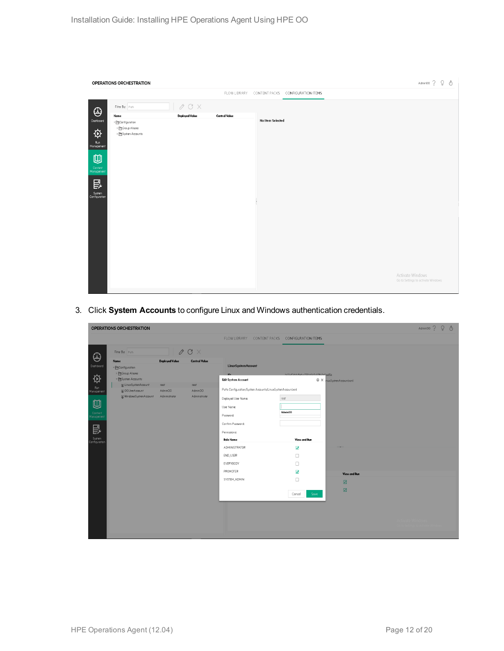|                                                                                                                                  | OPERATIONS ORCHESTRATION                                                        |                         |                      |                                                | $\begin{tabular}{ccccc} {\bf Admino} & $\widehat{?}$ & $\widehat{Q}$ & $\widehat{\mathbb{O}}$ \end{tabular}$ |
|----------------------------------------------------------------------------------------------------------------------------------|---------------------------------------------------------------------------------|-------------------------|----------------------|------------------------------------------------|--------------------------------------------------------------------------------------------------------------|
|                                                                                                                                  |                                                                                 |                         |                      | FLOW LIBRARY CONTENT PACKS CONFIGURATION ITEMS |                                                                                                              |
| $\bigoplus$                                                                                                                      | Filter By: Path                                                                 | $\mathcal O$ C $\times$ |                      |                                                |                                                                                                              |
|                                                                                                                                  | Name                                                                            | <b>Deployed Value</b>   | <b>Central Value</b> |                                                |                                                                                                              |
| Dashboard<br>$\boldsymbol{\phi}$<br>Run<br>Management<br>$\blacksquare$<br>Content<br>Management<br>昆<br>System<br>Configuration | $\sqrt{\phantom{a}}$ Configuration<br>> El Group Aliases<br>▶ EnSystem Accounts |                         |                      | No I tem Selected                              |                                                                                                              |
|                                                                                                                                  |                                                                                 |                         |                      |                                                | Activate Windows<br>Go to Settings to activate Windows.                                                      |

3. Click **System Accounts** to configure Linux and Windows authentication credentials.

|                                     | OPERATIONS ORCHESTRATION              |                       |                        |                                                           |                                      |                        | Admin00? Q & |  |
|-------------------------------------|---------------------------------------|-----------------------|------------------------|-----------------------------------------------------------|--------------------------------------|------------------------|--------------|--|
|                                     |                                       |                       |                        | FLOW LIBRARY CONTENT PACKS CONFIGURATION ITEMS            |                                      |                        |              |  |
| $\bigoplus$                         | Filter By: Path                       |                       | $\emptyset$ C $\times$ |                                                           |                                      |                        |              |  |
|                                     | Name                                  | <b>Deployed Value</b> | <b>Central Value</b>   | LinuxSystemAccount                                        |                                      |                        |              |  |
| Dashboard                           | ▼ Configuration                       |                       |                        |                                                           |                                      |                        |              |  |
| $\overleftrightarrow{\mathfrak{D}}$ | ▶ Croup Aliases<br>™ ESystem Accounts |                       |                        |                                                           | h/3sf0dd.ffa6./70f.h3r0.01Rs2r0ce15c |                        |              |  |
|                                     | [3] LinuxSystemAccount                | raat                  | root                   | Edit System Account                                       |                                      | X nuxSystemAccount.xml |              |  |
| .<br>Management                     | [1] OOUserAccount                     | AdminOO               | Admin00                | Path: Configuration/System Accounts/LinuxSystemAccountxml |                                      |                        |              |  |
|                                     | WindowsSystemAccount                  | Administrator         | Administrator          | Deployed User Name:                                       | root                                 |                        |              |  |
| 四                                   |                                       |                       |                        | User Name:                                                |                                      |                        |              |  |
| Content<br>fanagement               |                                       |                       |                        | Password:                                                 | AdminOO                              |                        |              |  |
|                                     |                                       |                       |                        | Confirm Password:                                         |                                      |                        |              |  |
| 昆                                   |                                       |                       |                        | Permissions                                               |                                      |                        |              |  |
| System<br>Configuration             |                                       |                       |                        | <b>Role Name</b>                                          | View and Run                         |                        |              |  |
|                                     |                                       |                       |                        | ADMINISTRATOR                                             | $\overline{\mathbf{z}}$              |                        |              |  |
|                                     |                                       |                       |                        | END_USER                                                  | $\Box$                               |                        |              |  |
|                                     |                                       |                       |                        | EVERYBODY                                                 | $\Box$                               |                        |              |  |
|                                     |                                       |                       |                        | PROMOTER                                                  | N                                    | View and Run           |              |  |
|                                     |                                       |                       |                        | SYSTEM_ADMIN                                              | $\Box$                               | ☑                      |              |  |
|                                     |                                       |                       |                        |                                                           |                                      | ☑                      |              |  |
|                                     |                                       |                       |                        |                                                           | Cancel<br>Save                       |                        |              |  |
|                                     |                                       |                       |                        |                                                           |                                      |                        |              |  |
|                                     |                                       |                       |                        |                                                           |                                      |                        |              |  |
|                                     |                                       |                       |                        |                                                           |                                      |                        |              |  |
|                                     |                                       |                       |                        |                                                           |                                      |                        |              |  |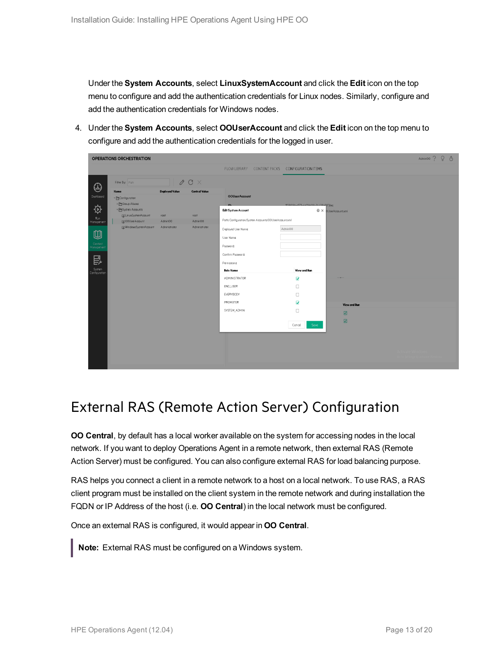Under the **System Accounts**, select **LinuxSystemAccount** and click the **Edit** icon on the top menu to configure and add the authentication credentials for Linux nodes. Similarly, configure and add the authentication credentials for Windows nodes.

4. Under the **System Accounts**, select **OOUserAccount** and click the **Edit** icon on the top menu to configure and add the authentication credentials for the logged in user.



### <span id="page-12-0"></span>External RAS (Remote Action Server) Configuration

**OO Central**, by default has a local worker available on the system for accessing nodes in the local network. If you want to deploy Operations Agent in a remote network, then external RAS (Remote Action Server) must be configured. You can also configure external RAS for load balancing purpose.

RAS helps you connect a client in a remote network to a host on a local network. To use RAS, a RAS client program must be installed on the client system in the remote network and during installation the FQDN or IP Address of the host (i.e. **OO Central**) in the local network must be configured.

Once an external RAS is configured, it would appear in **OO Central**.

**Note:** External RAS must be configured on a Windows system.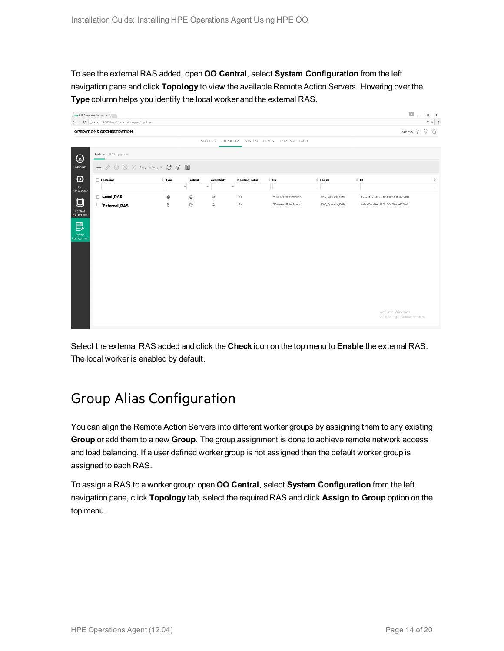To see the external RAS added, open **OO Central**, select **System Configuration** from the left navigation pane and click **Topology** to view the available Remote Action Servers. Hovering over the **Type** column helps you identify the local worker and the external RAS.

|                                                                                                                      | HPE Operations Orchestr X     |               |                          |                          |                         |                                                   |                   |                                                         | $\Box$ = $\sigma$ × |
|----------------------------------------------------------------------------------------------------------------------|-------------------------------|---------------|--------------------------|--------------------------|-------------------------|---------------------------------------------------|-------------------|---------------------------------------------------------|---------------------|
| 〒☆ :<br>$\leftarrow$ $\rightarrow$ $\left.$ $\mathbf{C}$   $\mathbf{0}$ localhost 8080/oo/#/systemWorkspace/topology |                               |               |                          |                          |                         |                                                   |                   |                                                         |                     |
|                                                                                                                      | OPERATIONS ORCHESTRATION      |               |                          |                          |                         |                                                   |                   | AdminOO ?                                               | $9$ 0               |
|                                                                                                                      |                               |               |                          |                          |                         | SECURITY TOPOLOGY SYSTEM SETTINGS DATABASE HEALTH |                   |                                                         |                     |
| $\bigoplus$                                                                                                          | Workers RAS Upgrade           |               |                          |                          |                         |                                                   |                   |                                                         |                     |
| Dashboard                                                                                                            |                               |               |                          |                          |                         |                                                   |                   |                                                         |                     |
| ♦                                                                                                                    | <b>Hostname</b>               | $\doteq$ Type | Enabled                  | Availability             | <b>Execution Status</b> | $\div$ os                                         | $\div$ Groups     | $\Leftrightarrow$ 1D                                    | $\hat{\mathbf{v}}$  |
| Run<br>Management                                                                                                    |                               |               | $\overline{\phantom{a}}$ | $\overline{\phantom{a}}$ | $\overline{\mathbf{v}}$ |                                                   |                   |                                                         |                     |
| ⋓                                                                                                                    | Local_RAS                     | 0             | $\odot$                  | ٩                        | Idle                    | Windows NT (unknown)                              | RAS_Operator_Path | b0e0b678-ac6a-4d51-bcd9-ffe6ce8f5bbc                    |                     |
| Content<br>Management                                                                                                | $\Box$<br><b>External_RAS</b> | a.            | Ø                        | ٩                        | Idie                    | Windows NT (unknown)                              | RAS_Operator_Path | aa2aa106-d441-47f7-b20c-346d4828be2c                    |                     |
|                                                                                                                      |                               |               |                          |                          |                         |                                                   |                   |                                                         |                     |
| 昆                                                                                                                    |                               |               |                          |                          |                         |                                                   |                   |                                                         |                     |
| System<br>Configuration                                                                                              |                               |               |                          |                          |                         |                                                   |                   |                                                         |                     |
|                                                                                                                      |                               |               |                          |                          |                         |                                                   |                   |                                                         |                     |
|                                                                                                                      |                               |               |                          |                          |                         |                                                   |                   |                                                         |                     |
|                                                                                                                      |                               |               |                          |                          |                         |                                                   |                   |                                                         |                     |
|                                                                                                                      |                               |               |                          |                          |                         |                                                   |                   |                                                         |                     |
|                                                                                                                      |                               |               |                          |                          |                         |                                                   |                   |                                                         |                     |
|                                                                                                                      |                               |               |                          |                          |                         |                                                   |                   |                                                         |                     |
|                                                                                                                      |                               |               |                          |                          |                         |                                                   |                   | Activate Windows<br>Go to Settings to activate Windows. |                     |
|                                                                                                                      |                               |               |                          |                          |                         |                                                   |                   |                                                         |                     |

<span id="page-13-0"></span>Select the external RAS added and click the **Check** icon on the top menu to **Enable** the external RAS. The local worker is enabled by default.

### Group Alias Configuration

You can align the Remote Action Servers into different worker groups by assigning them to any existing **Group** or add them to a new **Group**. The group assignment is done to achieve remote network access and load balancing. If a user defined worker group is not assigned then the default worker group is assigned to each RAS.

To assign a RAS to a worker group: open **OO Central**, select **System Configuration** from the left navigation pane, click **Topology** tab, select the required RAS and click **Assign to Group** option on the top menu.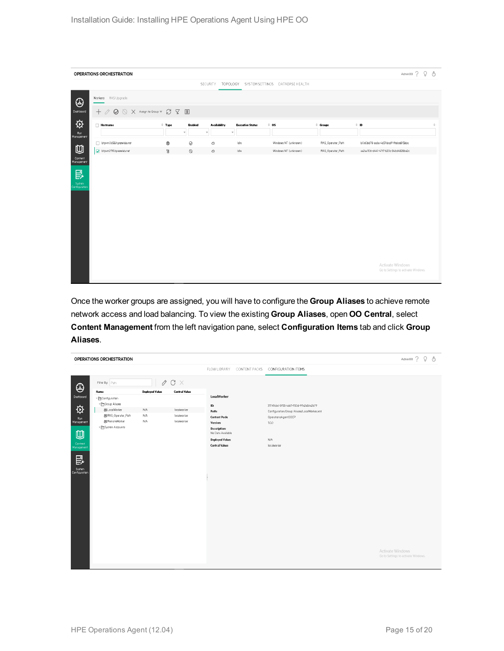|                                         | OPERATIONS ORCHESTRATION                                                                            |                      |                                                                                      |                                         |                                                                 |                   | Admin00? Q ①                                            |                                                                    |
|-----------------------------------------|-----------------------------------------------------------------------------------------------------|----------------------|--------------------------------------------------------------------------------------|-----------------------------------------|-----------------------------------------------------------------|-------------------|---------------------------------------------------------|--------------------------------------------------------------------|
|                                         |                                                                                                     |                      |                                                                                      |                                         | SECURITY TOPOLOGY SYSTEM SETTINGS DATABASE HEALTH               |                   |                                                         |                                                                    |
| $\bigoplus$                             | Workers RAS Upgrade                                                                                 |                      |                                                                                      |                                         |                                                                 |                   |                                                         |                                                                    |
| Dashboard                               | $+$ $\oslash$ $\oslash$ $\times$ Assign to Group $\triangledown$ $\oslash$ $\oslash$ $\blacksquare$ |                      |                                                                                      |                                         |                                                                 |                   |                                                         |                                                                    |
| $\hat{\varphi}$<br>Run                  | $\Box$ Hostname                                                                                     | $+$ Type             | <b>Availability</b><br>Enabled<br>$\overline{\phantom{a}}$<br>$\overline{\mathbf v}$ | <b>Execution Status</b><br>$\mathbf{v}$ | $\stackrel{\scriptscriptstyle \pm}{\scriptscriptstyle \sim}$ os | $\hat{=}$ Groups  | $\hat{=}$ : ID                                          | $\stackrel{\scriptscriptstyle \Delta}{\scriptscriptstyle \forall}$ |
| Management                              | btpvm0658.hpeswlab.net                                                                              | 0                    | $\odot$<br>٩                                                                         | Idle                                    | Windows NT (unknown)                                            | RAS_Operator_Path | b0e0b678-ac6a-4d51-bcd9-ffe6ce8f5bbc                    |                                                                    |
| $\blacksquare$<br>Content<br>Management | btpwm2119.hpeswlab.net                                                                              | $\tilde{\mathbb{B}}$ | $\oslash$<br>٩                                                                       | Idle                                    | Windows NT (unknown)                                            | RAS_Operator_Path | aa2aa106-d441-47f7-b20c-346d4828be2c                    |                                                                    |
| 昆<br>System<br>Configuration            |                                                                                                     |                      |                                                                                      |                                         |                                                                 |                   |                                                         |                                                                    |
|                                         |                                                                                                     |                      |                                                                                      |                                         |                                                                 |                   |                                                         |                                                                    |
|                                         |                                                                                                     |                      |                                                                                      |                                         |                                                                 |                   |                                                         |                                                                    |
|                                         |                                                                                                     |                      |                                                                                      |                                         |                                                                 |                   |                                                         |                                                                    |
|                                         |                                                                                                     |                      |                                                                                      |                                         |                                                                 |                   | Activate Windows<br>Go to Settings to activate Windows. |                                                                    |

Once the worker groups are assigned, you will have to configure the **Group Aliases** to achieve remote network access and load balancing. To view the existing **Group Aliases**, open **OO Central**, select **Content Management** from the left navigation pane, select **Configuration Items** tab and click **Group Aliases**.

|                              | OPERATIONS ORCHESTRATION                               |                       |                         |                                                |                                             | Admin00? Q ①                                            |
|------------------------------|--------------------------------------------------------|-----------------------|-------------------------|------------------------------------------------|---------------------------------------------|---------------------------------------------------------|
|                              |                                                        |                       |                         | FLOW LIBRARY CONTENT PACKS CONFIGURATION ITEMS |                                             |                                                         |
| $\bigoplus$                  | Filter By: Path                                        |                       | $\mathcal O$ C $\times$ |                                                |                                             |                                                         |
|                              | Name                                                   | <b>Deployed Value</b> | <b>Central Value</b>    |                                                |                                             |                                                         |
| Dashboard                    | $\sqrt{\phantom{a}}$ Configuration                     |                       |                         | LocalWorker                                    |                                             |                                                         |
|                              | ™ El Group Aliases                                     |                       |                         | $\mathbf{ID:}$                                 | 31749cód-3955-4dd1-950d-99e2e54e2b79        |                                                         |
| $\boldsymbol{\phi}$          | 88 LocalWorker                                         | N/A                   | localworker             | Path:                                          | Configuration/Group Aliases/LocalWorker.xml |                                                         |
| Run<br>Management            | 88 RAS_Operator_Path                                   | N/A                   | localworker             | <b>Content Pack:</b>                           | OperationsAgentOOCP                         |                                                         |
|                              | 88 RemoteWorker                                        | N/A                   | localworker             | Version:                                       | 10.0                                        |                                                         |
| 四                            | $\triangleright$ $\blacktriangleright$ System Accounts |                       |                         | Description:<br>No Data Available              |                                             |                                                         |
|                              |                                                        |                       |                         | <b>Deployed Value:</b>                         | N/A                                         |                                                         |
| .<br>Management              |                                                        |                       |                         | <b>Central Value:</b>                          | localworker                                 |                                                         |
| 昆<br>System<br>Configuration |                                                        |                       |                         |                                                |                                             | Activate Windows<br>Go to Settings to activate Windows. |
|                              |                                                        |                       |                         |                                                |                                             |                                                         |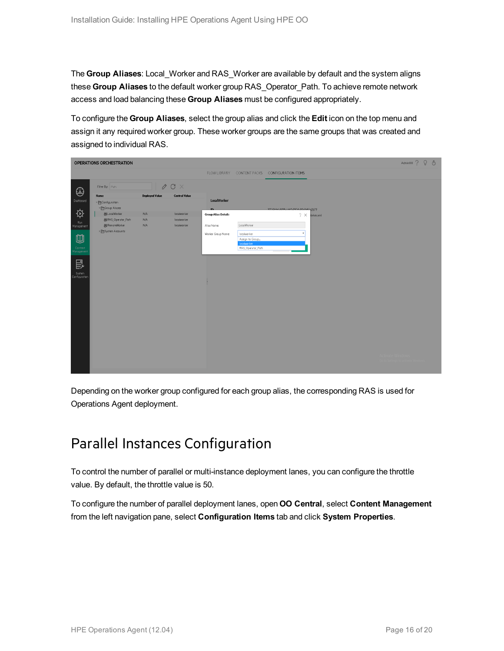The **Group Aliases**: Local\_Worker and RAS\_Worker are available by default and the system aligns these **Group Aliases** to the default worker group RAS\_Operator\_Path. To achieve remote network access and load balancing these **Group Aliases** must be configured appropriately.

To configure the **Group Aliases**, select the group alias and click the **Edit** icon on the top menu and assign it any required worker group. These worker groups are the same groups that was created and assigned to individual RAS.

|                                     | OPERATIONS ORCHESTRATION               |                       |                         |                            |                                |                                                |                       | Admin00 ? Q & |  |
|-------------------------------------|----------------------------------------|-----------------------|-------------------------|----------------------------|--------------------------------|------------------------------------------------|-----------------------|---------------|--|
|                                     |                                        |                       |                         |                            |                                | FLOW LIBRARY CONTENT PACKS CONFIGURATION ITEMS |                       |               |  |
| $\bigoplus$                         | Filter By: Path                        |                       | $\mathcal O$ C $\times$ |                            |                                |                                                |                       |               |  |
| Dashboard                           | Name                                   | <b>Deployed Value</b> | <b>Central Value</b>    | <b>LocalWorker</b>         |                                |                                                |                       |               |  |
|                                     | ▼ EConfiguration<br>™ El Group Aliases |                       |                         | in.                        |                                | 317/044-3055-6441-0504-006945682679            |                       |               |  |
| $\overleftrightarrow{\mathfrak{D}}$ | 88 LocalWorker                         | N/A                   | localworker             | <b>Group Alias Details</b> |                                |                                                | $? \times$ forker.xml |               |  |
|                                     | 88 RAS_Operator_Path                   | N/A                   | localworker             |                            |                                |                                                |                       |               |  |
| .<br>Management                     | 88 RemoteWorker                        | N/A                   | localworker             | Alias Name:                | LocalWorker                    |                                                |                       |               |  |
|                                     | ▶ El System Accounts                   |                       |                         | Worker Group Name:         | localworker                    |                                                |                       |               |  |
| $\blacksquare$                      |                                        |                       |                         |                            | Assign to Group<br>localworker |                                                |                       |               |  |
| Content<br>Management               |                                        |                       |                         |                            | RAS_Operator_Path              |                                                |                       |               |  |
|                                     |                                        |                       |                         |                            |                                |                                                |                       |               |  |
| 昆                                   |                                        |                       |                         |                            |                                |                                                |                       |               |  |
| System<br>Configuration             |                                        |                       |                         |                            |                                |                                                |                       |               |  |
|                                     |                                        |                       |                         |                            |                                |                                                |                       |               |  |
|                                     |                                        |                       |                         |                            |                                |                                                |                       |               |  |
|                                     |                                        |                       |                         |                            |                                |                                                |                       |               |  |
|                                     |                                        |                       |                         |                            |                                |                                                |                       |               |  |
|                                     |                                        |                       |                         |                            |                                |                                                |                       |               |  |
|                                     |                                        |                       |                         |                            |                                |                                                |                       |               |  |
|                                     |                                        |                       |                         |                            |                                |                                                |                       |               |  |
|                                     |                                        |                       |                         |                            |                                |                                                |                       |               |  |
|                                     |                                        |                       |                         |                            |                                |                                                |                       |               |  |
|                                     |                                        |                       |                         |                            |                                |                                                |                       |               |  |
|                                     |                                        |                       |                         |                            |                                |                                                |                       |               |  |
|                                     |                                        |                       |                         |                            |                                |                                                |                       |               |  |
|                                     |                                        |                       |                         |                            |                                |                                                |                       |               |  |

<span id="page-15-0"></span>Depending on the worker group configured for each group alias, the corresponding RAS is used for Operations Agent deployment.

### Parallel Instances Configuration

To control the number of parallel or multi-instance deployment lanes, you can configure the throttle value. By default, the throttle value is 50.

To configure the number of parallel deployment lanes, open **OO Central**, select **Content Management** from the left navigation pane, select **Configuration Items** tab and click **System Properties**.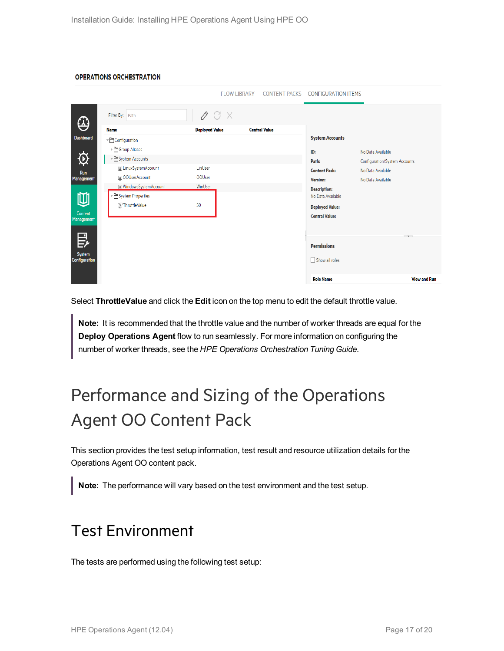#### **OPERATIONS ORCHESTRATION**

|                                |                              |                       | <b>FLOW LIBRARY</b> | <b>CONTENT PACKS</b> | <b>CONFIGURATION ITEMS</b> |                               |
|--------------------------------|------------------------------|-----------------------|---------------------|----------------------|----------------------------|-------------------------------|
| $\bigoplus$                    | Filter By: Path              | $\emptyset$ C X       |                     |                      |                            |                               |
|                                | <b>Name</b>                  | <b>Deployed Value</b> |                     | <b>Central Value</b> |                            |                               |
| <b>Dashboard</b>               | ▼ Configuration              |                       |                     |                      | <b>System Accounts</b>     |                               |
|                                | ▶ <sup>D</sup> Group Aliases |                       |                     |                      | ID:                        | No Data Available             |
| $\mathfrak{P}$                 | ▼ System Accounts            |                       |                     |                      | Path:                      | Configuration/System Accounts |
| Run                            | LinuxSystemAccount           | LinUser               |                     |                      | <b>Content Pack:</b>       | No Data Available             |
| Management                     | OOUserAccount                | OOUser                |                     |                      | <b>Version:</b>            | No Data Available             |
|                                | I WindowsSystemAccount       | WinUser               |                     |                      | <b>Description:</b>        |                               |
| ⋓                              | System Properties            |                       |                     |                      | No Data Available          |                               |
|                                | ThrottleValue                | 50                    |                     |                      | <b>Deployed Value:</b>     |                               |
| Content<br>Management          |                              |                       |                     |                      | <b>Central Value:</b>      |                               |
|                                |                              |                       |                     |                      |                            |                               |
| 昆                              |                              |                       |                     |                      |                            | $-$                           |
|                                |                              |                       |                     |                      | <b>Permissions</b>         |                               |
| <b>System</b><br>Configuration |                              |                       |                     |                      | Show all roles             |                               |
|                                |                              |                       |                     |                      |                            |                               |
|                                |                              |                       |                     |                      | <b>Role Name</b>           | <b>View and Run</b>           |

Select **ThrottleValue** and click the **Edit** icon on the top menu to edit the default throttle value.

**Note:** It is recommended that the throttle value and the number of worker threads are equal for the **Deploy Operations Agent** flow to run seamlessly. For more information on configuring the number of worker threads, see the *HPE Operations Orchestration Tuning Guide*.

## <span id="page-16-0"></span>Performance and Sizing of the Operations Agent OO Content Pack

This section provides the test setup information, test result and resource utilization details for the Operations Agent OO content pack.

<span id="page-16-1"></span>**Note:** The performance will vary based on the test environment and the test setup.

### Test Environment

The tests are performed using the following test setup: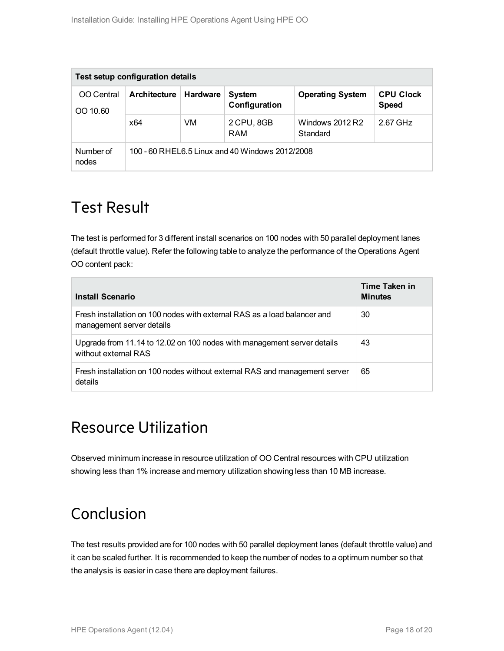| Test setup configuration details |                                                 |                 |                                |                             |                                  |  |
|----------------------------------|-------------------------------------------------|-----------------|--------------------------------|-----------------------------|----------------------------------|--|
| OO Central<br>OO 10.60           | <b>Architecture</b>                             | <b>Hardware</b> | <b>System</b><br>Configuration | <b>Operating System</b>     | <b>CPU Clock</b><br><b>Speed</b> |  |
|                                  | x64                                             | VM              | 2 CPU, 8GB<br>RAM              | Windows 2012 R2<br>Standard | 2.67 GHz                         |  |
| Number of<br>nodes               | 100 - 60 RHEL6.5 Linux and 40 Windows 2012/2008 |                 |                                |                             |                                  |  |

### <span id="page-17-0"></span>Test Result

The test is performed for 3 different install scenarios on 100 nodes with 50 parallel deployment lanes (default throttle value). Refer the following table to analyze the performance of the Operations Agent OO content pack:

| Install Scenario                                                                                      | Time Taken in<br><b>Minutes</b> |
|-------------------------------------------------------------------------------------------------------|---------------------------------|
| Fresh installation on 100 nodes with external RAS as a load balancer and<br>management server details | 30                              |
| Upgrade from 11.14 to 12.02 on 100 nodes with management server details<br>without external RAS       | 43                              |
| Fresh installation on 100 nodes without external RAS and management server<br>details                 | 65                              |

### Resource Utilization

Observed minimum increase in resource utilization of OO Central resources with CPU utilization showing less than 1% increase and memory utilization showing less than 10 MB increase.

### Conclusion

The test results provided are for 100 nodes with 50 parallel deployment lanes (default throttle value) and it can be scaled further. It is recommended to keep the number of nodes to a optimum number so that the analysis is easier in case there are deployment failures.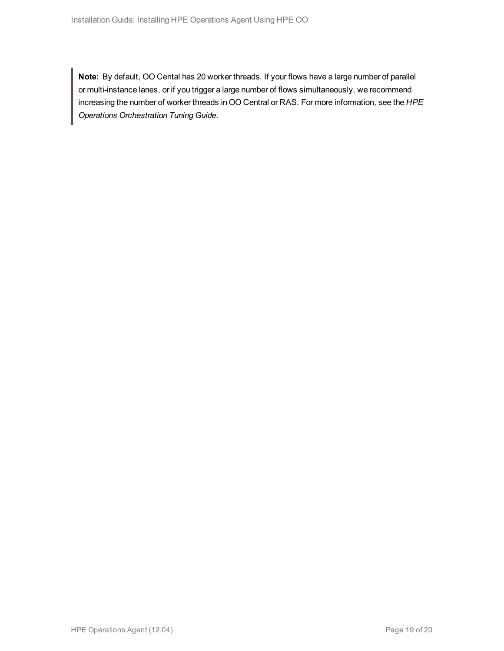**Note:** By default, OO Cental has 20 worker threads. If your flows have a large number of parallel or multi-instance lanes, or if you trigger a large number of flows simultaneously, we recommend increasing the number of worker threads in OO Central or RAS. For more information, see the *HPE Operations Orchestration Tuning Guide*.